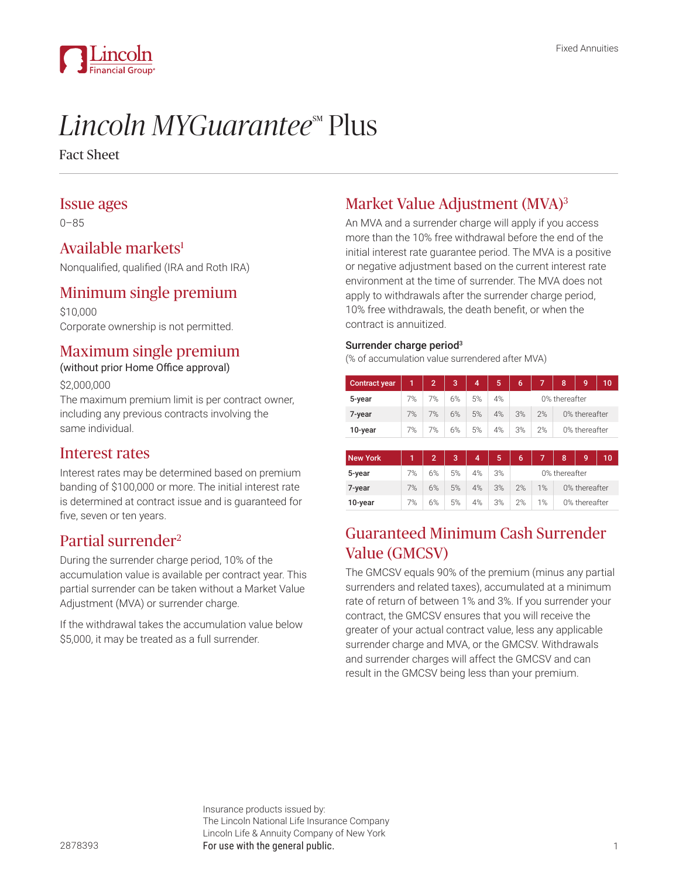

# *Lincoln MYGuarantee*<sup>M</sup> Plus

Fact Sheet

## Issue ages

0–85

## Available markets<sup>1</sup>

Nonqualified, qualified (IRA and Roth IRA)

## Minimum single premium

\$10,000 Corporate ownership is not permitted.

# Maximum single premium

(without prior Home Office approval)

\$2,000,000

The maximum premium limit is per contract owner, including any previous contracts involving the same individual.

## Interest rates

Interest rates may be determined based on premium banding of \$100,000 or more. The initial interest rate is determined at contract issue and is guaranteed for five, seven or ten years.

# Partial surrender2

During the surrender charge period, 10% of the accumulation value is available per contract year. This partial surrender can be taken without a Market Value Adjustment (MVA) or surrender charge.

If the withdrawal takes the accumulation value below \$5,000, it may be treated as a full surrender.

# Market Value Adjustment (MVA)3

An MVA and a surrender charge will apply if you access more than the 10% free withdrawal before the end of the initial interest rate guarantee period. The MVA is a positive or negative adjustment based on the current interest rate environment at the time of surrender. The MVA does not apply to withdrawals after the surrender charge period, 10% free withdrawals, the death benefit, or when the contract is annuitized.

#### Surrender charge period<sup>3</sup>

(% of accumulation value surrendered after MVA)

| <b>Contract year</b> | 1  | $\overline{2}$ | 3  | 4              | 5  | 6             | 7  | 8             | 9 | 10 |  |
|----------------------|----|----------------|----|----------------|----|---------------|----|---------------|---|----|--|
| 5-year               | 7% | 7%             | 6% | 5%             | 4% | 0% thereafter |    |               |   |    |  |
| 7-year               | 7% | 7%             | 6% | 5%             | 4% | 3%            | 2% | 0% thereafter |   |    |  |
| 10-year              | 7% | 7%             | 6% | 5%             | 4% | 3%            | 2% | 0% thereafter |   |    |  |
|                      |    |                |    |                |    |               |    |               |   |    |  |
| <b>New York</b>      | 1  | $\overline{2}$ | 3  | $\overline{4}$ | 5  | 6             | 7  | 8             | 9 | 10 |  |
| 5-year               | 7% | 6%             | 5% | 4%             | 3% | 0% thereafter |    |               |   |    |  |
| 7-year               | 7% | 6%             | 5% | 4%             | 3% | 2%            | 1% | 0% thereafter |   |    |  |
| 10-year              | 7% | 6%             | 5% | 4%             | 3% | 2%            | 1% | 0% thereafter |   |    |  |

# Guaranteed Minimum Cash Surrender Value (GMCSV)

The GMCSV equals 90% of the premium (minus any partial surrenders and related taxes), accumulated at a minimum rate of return of between 1% and 3%. If you surrender your contract, the GMCSV ensures that you will receive the greater of your actual contract value, less any applicable surrender charge and MVA, or the GMCSV. Withdrawals and surrender charges will affect the GMCSV and can result in the GMCSV being less than your premium.